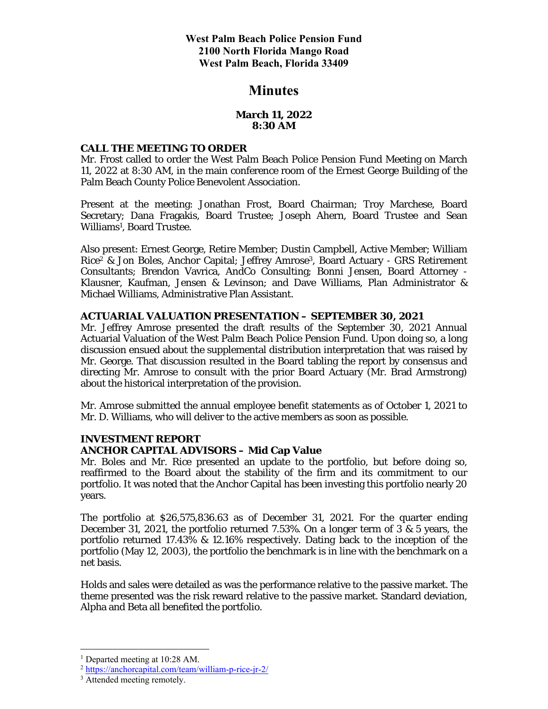# **Minutes**

## **March 11, 2022 8:30 AM**

#### **CALL THE MEETING TO ORDER**

Mr. Frost called to order the West Palm Beach Police Pension Fund Meeting on March 11, 2022 at 8:30 AM, in the main conference room of the Ernest George Building of the Palm Beach County Police Benevolent Association.

Present at the meeting: Jonathan Frost, Board Chairman; Troy Marchese, Board Secretary; Dana Fragakis, Board Trustee; Joseph Ahern, Board Trustee and Sean Williams<sup>1</sup>, Board Trustee.

Also present: Ernest George, Retire Member; Dustin Campbell, Active Member; William Rice2 & Jon Boles, Anchor Capital; Jeffrey Amrose3, Board Actuary - GRS Retirement Consultants; Brendon Vavrica, AndCo Consulting; Bonni Jensen, Board Attorney - Klausner, Kaufman, Jensen & Levinson; and Dave Williams, Plan Administrator & Michael Williams, Administrative Plan Assistant.

## **ACTUARIAL VALUATION PRESENTATION – SEPTEMBER 30, 2021**

Mr. Jeffrey Amrose presented the draft results of the September 30, 2021 Annual Actuarial Valuation of the West Palm Beach Police Pension Fund. Upon doing so, a long discussion ensued about the supplemental distribution interpretation that was raised by Mr. George. That discussion resulted in the Board tabling the report by consensus and directing Mr. Amrose to consult with the prior Board Actuary (Mr. Brad Armstrong) about the historical interpretation of the provision.

Mr. Amrose submitted the annual employee benefit statements as of October 1, 2021 to Mr. D. Williams, who will deliver to the active members as soon as possible.

## **INVESTMENT REPORT**

## **ANCHOR CAPITAL ADVISORS – Mid Cap Value**

Mr. Boles and Mr. Rice presented an update to the portfolio, but before doing so, reaffirmed to the Board about the stability of the firm and its commitment to our portfolio. It was noted that the Anchor Capital has been investing this portfolio nearly 20 years.

The portfolio at \$26,575,836.63 as of December 31, 2021. For the quarter ending December 31, 2021, the portfolio returned 7.53%. On a longer term of 3 & 5 years, the portfolio returned 17.43% & 12.16% respectively. Dating back to the inception of the portfolio (May 12, 2003), the portfolio the benchmark is in line with the benchmark on a net basis.

Holds and sales were detailed as was the performance relative to the passive market. The theme presented was the risk reward relative to the passive market. Standard deviation, Alpha and Beta all benefited the portfolio.

<sup>&</sup>lt;sup>1</sup> Departed meeting at 10:28 AM.

<sup>2</sup> https://anchorcapital.com/team/william-p-rice-jr-2/

<sup>&</sup>lt;sup>3</sup> Attended meeting remotely.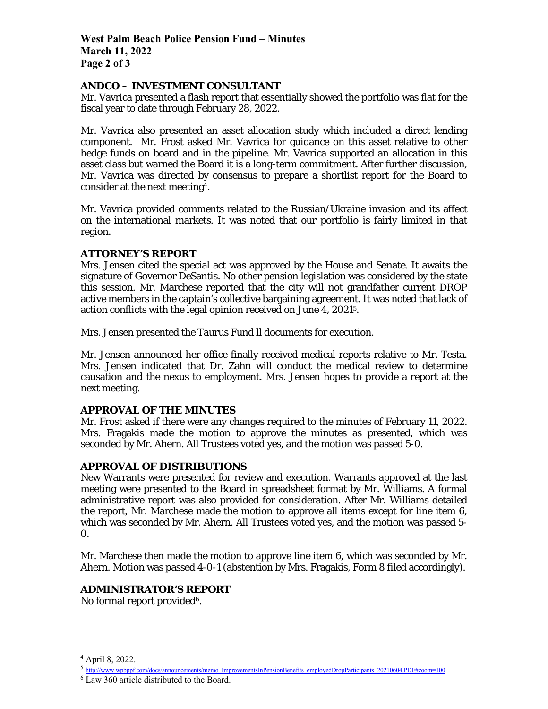**West Palm Beach Police Pension Fund – Minutes March 11, 2022 Page 2 of 3** 

## **ANDCO – INVESTMENT CONSULTANT**

Mr. Vavrica presented a flash report that essentially showed the portfolio was flat for the fiscal year to date through February 28, 2022.

Mr. Vavrica also presented an asset allocation study which included a direct lending component. Mr. Frost asked Mr. Vavrica for guidance on this asset relative to other hedge funds on board and in the pipeline. Mr. Vavrica supported an allocation in this asset class but warned the Board it is a long-term commitment. After further discussion, Mr. Vavrica was directed by consensus to prepare a shortlist report for the Board to consider at the next meeting4.

Mr. Vavrica provided comments related to the Russian/Ukraine invasion and its affect on the international markets. It was noted that our portfolio is fairly limited in that region.

## **ATTORNEY'S REPORT**

Mrs. Jensen cited the special act was approved by the House and Senate. It awaits the signature of Governor DeSantis. No other pension legislation was considered by the state this session. Mr. Marchese reported that the city will not grandfather current DROP active members in the captain's collective bargaining agreement. It was noted that lack of action conflicts with the legal opinion received on June 4, 20215.

Mrs. Jensen presented the Taurus Fund ll documents for execution.

Mr. Jensen announced her office finally received medical reports relative to Mr. Testa. Mrs. Jensen indicated that Dr. Zahn will conduct the medical review to determine causation and the nexus to employment. Mrs. Jensen hopes to provide a report at the next meeting.

## **APPROVAL OF THE MINUTES**

Mr. Frost asked if there were any changes required to the minutes of February 11, 2022. Mrs. Fragakis made the motion to approve the minutes as presented, which was seconded by Mr. Ahern. All Trustees voted yes, and the motion was passed 5-0.

## **APPROVAL OF DISTRIBUTIONS**

New Warrants were presented for review and execution. Warrants approved at the last meeting were presented to the Board in spreadsheet format by Mr. Williams. A formal administrative report was also provided for consideration. After Mr. Williams detailed the report, Mr. Marchese made the motion to approve all items except for line item 6, which was seconded by Mr. Ahern. All Trustees voted yes, and the motion was passed 5- 0.

Mr. Marchese then made the motion to approve line item 6, which was seconded by Mr. Ahern. Motion was passed 4-0-1 (abstention by Mrs. Fragakis, Form 8 filed accordingly).

## **ADMINISTRATOR'S REPORT**

No formal report provided<sup>6</sup>.

<sup>4</sup> April 8, 2022.

<sup>5</sup> http://www.wpbppf.com/docs/announcements/memo\_ImprovementsInPensionBenefits\_employedDropParticipants\_20210604.PDF#zoom=100

<sup>6</sup> Law 360 article distributed to the Board.